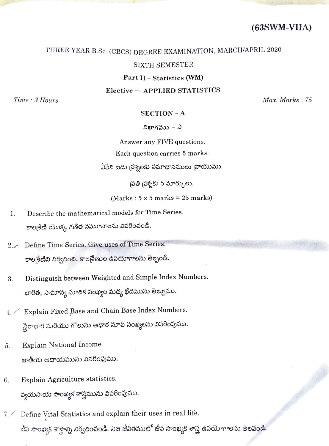(63SWM-VIIA)

## THREE YEAR B.Sc. (CBCS) DEGREE EXAMINATION, MARCH/APRIL 2020

## SIXTH SEMESTER

Part II – Statistics (WM)

Elective-APPLIED STATISTICS

 $Time: 3 \, Hours = 75$ 

### SECTION - <sup>A</sup>

## విభాగవుు – ఎ

Answer any FIVE questions. Each question carries 5 marks. ఏపేని ఐదు చ్రశ్నలకు సమాధానములు చాయుము.

|పతి |పశ్నకు 5 మార్కులు.

 $(Marks: 5 \times 5 marks = 25 marks)$ 

- 1. Describe the mathematical models for Time Series. కాల్మశేణి యొక్క గణిత నమూనాలను వివరించండి.
- 2. Define Time Series. Give uses of Time Series. కాల్మేణిని నిర్వచించి. కాల్మేణుల ఉపయోగాలను తెల్పండి.
- 3. Distinguish between Weighted and Simple Index Numbers. భారిత, సామాన్య సూచిక సంఖ్యల మధ్య భేదమును తెల్పుము.
- 4. Explain Fixed Base and Chain Base Index Numbers. స్థిరాధార మరియు గొలుసు ఆధార సూచీ సంఖ్యలను వివరింపుము.
- 5. Explain National Income. జాతీయ ఆదాయమును వివరింపుము.
- 6. Explain Agriculture statistics. వ్యయసాయ సాంఖ్యక శాస్త్రమును వివరింపుము.
- $7.$  Define Vital Statistics and explain their uses in real life. జీవ సాంఖ్యక శాస్త్రాన్ని నిర్వచించండి. నిజ జీవితములో జీవ సాంఖ్యక శాస్త్ర ఉపయోగాలను తెలపండి.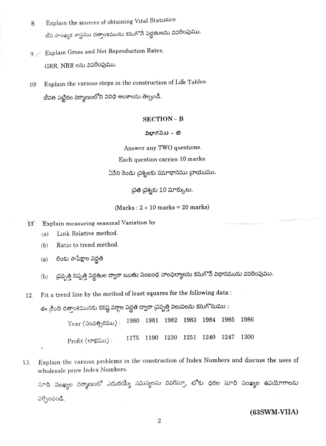- Explain the sources of obtaining Vital Statistics. 8. జీవ సాంఖ్యక శాస్త్రము దత్తాంశమును కనుగొనే పద్ధతులను వివరింపుము.
- 9. Explain Gross and Net Reproduction Rates.  $GRR$ ,  $NRR$  లను వివరింపుము.
- 10. Explain the various steps in the construction of Life Tables. జీవిత పట్టికల నిర్మాణంలోని వివిధ అంశాలను తెల్పండి.

#### SECTION - <sup>B</sup>

#### విభాగవుు – బి

Answer any TWO questions. Each question carries 10 marks. ఏపేని రెండు చ్రశ్నలకు సమాధానము చ్రాయుము.

|పతి |పశ్నకు 10 మార్కులు.

(Marks :  $2 \times 10$  marks = 20 marks)

- Explain measuring seasonal Variation by  $11<sub>1</sub>$ 
	- (a) Link Relative method.
	- (b) Ratio to trend method.
	- లింకు సాపేక్షాల పద్ధతి (a)
	- చ్రవృత్తి నిష్పత్తి పద్దతుల ద్వారా ఋతు సంబంధ చాంఛల్యాలను కనుగొనే విధానమును వివరింపుము. b)
- 12. Fita trend line by the method of least squares for the following data:

ఈ <sub>కీ</sub>ంది దత్తాంశమునకు కనిష్ఠ వర్గాల పద్ధతి ద్వారా <sub>l</sub>పవృత్తి విలువలను కనుగొనుము : Year (సంవత్సరము): 1980 1981 1982 1983 1984 1985 1986 Profit (లాభము): 1175 1190 1230 1251 1240 1247 1300

13. Explain the various problems in the construction of Index Numbers and discuss the uses of wholesale price Index Numbers.

సూపి సంఖ్యల నిర్మాణంలో ఎదురయ్యే సమస్యలను వివరిస్తూ, టోకు ధరల సూచీ సంఖ్యల ఉపయోగాలను చర్చించండి.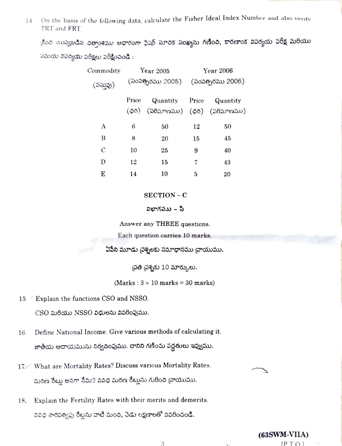On the basis of the following data, calculate the Fisher Ideal Index Number and also verify 14. TRT and FRT

కింద యివ్వబడిన దత్తాంశము ఆధారంగా ఫిషర్ సూచిక సంఖ్యను గణించి, కారణాంక విపర్యయ పరీక్ష మరియు సమయ వివర్యయ పరీక్షలు పరీక్షించండి :

| Commodity | Year 2005        |          | Year 2006        |                            |
|-----------|------------------|----------|------------------|----------------------------|
| (పసుపు)   | (సంపత్సరము 2005) |          | (సంవత్సరము 2006) |                            |
|           | Price            | Quantity | Price            | Quantity                   |
|           | (55)             |          |                  | (వరిమాణము) (ధర) (వరిమాణము) |
| A         | 6                | 50       | 12               | 50                         |
| B         | 8                | 20       | 15               | 45                         |
| С         | 10               | 25       | 9                | 40                         |
| D         | 12               | 15       | 7                | 43                         |
| E         | 14               | 10       | 5                | 20                         |

#### SECTION - C

#### విభాగవుు – సి

Answer any THREE questions.

Each question carries 10 marks.

ఏపేని మూడు చ్రశ్నలకు సమాధానము చ్రాయుము.

చ్రతి <sub>(</sub>వశ్నకు 10 మార్కులు.

(Marks:  $3 \times 10$  marks = 30 marks)

- 15. Explain the functions CSO and NSSO. CSO మరియు NSSO విధులను వివరింపుము.
- Define National Income. Give various methods of calculating it. 16. జాతీయ ఆదాయమును నిర్వచింపుము. దానిని గణించు పద్ధతులు ఇవ్వుము.
- 17 What are Mortality Rates? Discuss various Mortality Rates. మరణ రేట్లు అనగా నేమి? వివిధ మరణ రేట్లును గురించి వ్రాయుము.
- Explain the Fertility Rates with their merits and demerits.  $18<sub>r</sub>$ వివిధ సారవత్వపు రేట్లను వాటి మంచి, చెడు లక్షణాలతో వివరించండి.

3